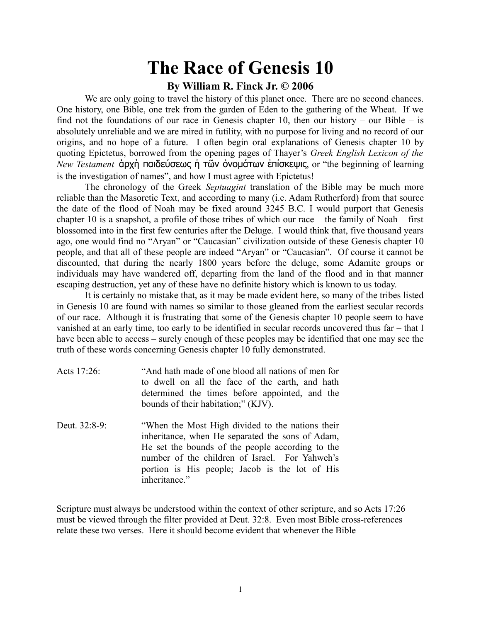#### **By William R. Finck Jr. © 2006**

We are only going to travel the history of this planet once. There are no second chances. One history, one Bible, one trek from the garden of Eden to the gathering of the Wheat. If we find not the foundations of our race in Genesis chapter 10, then our history – our Bible – is absolutely unreliable and we are mired in futility, with no purpose for living and no record of our origins, and no hope of a future. I often begin oral explanations of Genesis chapter 10 by quoting Epictetus, borrowed from the opening pages of Thayer's *Greek English Lexicon of the New Testament* άρχὴ παιδεύσεως ἡ τῶν ỏνομάτων ἐπίσκεψις, or "the beginning of learning is the investigation of names", and how I must agree with Epictetus!

The chronology of the Greek *Septuagint* translation of the Bible may be much more reliable than the Masoretic Text, and according to many (i.e. Adam Rutherford) from that source the date of the flood of Noah may be fixed around 3245 B.C. I would purport that Genesis chapter 10 is a snapshot, a profile of those tribes of which our race – the family of Noah – first blossomed into in the first few centuries after the Deluge. I would think that, five thousand years ago, one would find no "Aryan" or "Caucasian" civilization outside of these Genesis chapter 10 people, and that all of these people are indeed "Aryan" or "Caucasian". Of course it cannot be discounted, that during the nearly 1800 years before the deluge, some Adamite groups or individuals may have wandered off, departing from the land of the flood and in that manner escaping destruction, yet any of these have no definite history which is known to us today.

It is certainly no mistake that, as it may be made evident here, so many of the tribes listed in Genesis 10 are found with names so similar to those gleaned from the earliest secular records of our race. Although it is frustrating that some of the Genesis chapter 10 people seem to have vanished at an early time, too early to be identified in secular records uncovered thus far – that I have been able to access – surely enough of these peoples may be identified that one may see the truth of these words concerning Genesis chapter 10 fully demonstrated.

| Acts 17:26:   | "And hath made of one blood all nations of men for<br>to dwell on all the face of the earth, and hath<br>determined the times before appointed, and the<br>bounds of their habitation;" (KJV).                                                                                |
|---------------|-------------------------------------------------------------------------------------------------------------------------------------------------------------------------------------------------------------------------------------------------------------------------------|
| Deut. 32:8-9: | "When the Most High divided to the nations their<br>inheritance, when He separated the sons of Adam,<br>He set the bounds of the people according to the<br>number of the children of Israel. For Yahweh's<br>portion is His people; Jacob is the lot of His<br>inheritance." |

Scripture must always be understood within the context of other scripture, and so Acts 17:26 must be viewed through the filter provided at Deut. 32:8. Even most Bible cross-references relate these two verses. Here it should become evident that whenever the Bible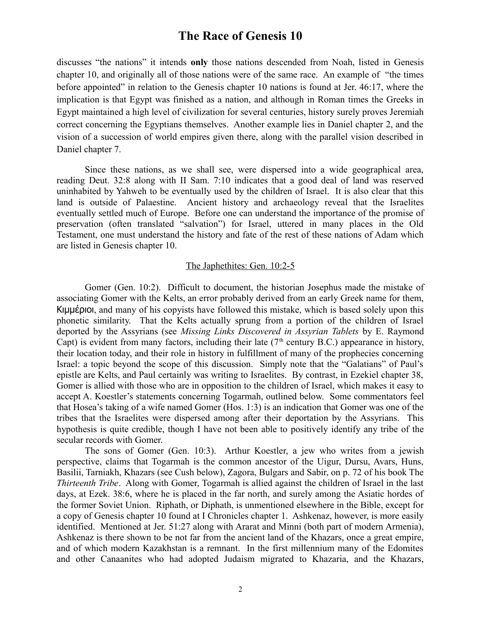discusses "the nations" it intends **only** those nations descended from Noah, listed in Genesis chapter 10, and originally all of those nations were of the same race. An example of "the times before appointed" in relation to the Genesis chapter 10 nations is found at Jer. 46:17, where the implication is that Egypt was finished as a nation, and although in Roman times the Greeks in Egypt maintained a high level of civilization for several centuries, history surely proves Jeremiah correct concerning the Egyptians themselves. Another example lies in Daniel chapter 2, and the vision of a succession of world empires given there, along with the parallel vision described in Daniel chapter 7.

Since these nations, as we shall see, were dispersed into a wide geographical area, reading Deut. 32:8 along with II Sam. 7:10 indicates that a good deal of land was reserved uninhabited by Yahweh to be eventually used by the children of Israel. It is also clear that this land is outside of Palaestine. Ancient history and archaeology reveal that the Israelites eventually settled much of Europe. Before one can understand the importance of the promise of preservation (often translated "salvation") for Israel, uttered in many places in the Old Testament, one must understand the history and fate of the rest of these nations of Adam which are listed in Genesis chapter 10.

#### The Japhethites: Gen. 10:2-5

Gomer (Gen. 10:2). Difficult to document, the historian Josephus made the mistake of associating Gomer with the Kelts, an error probably derived from an early Greek name for them, Κιμμέριοι, and many of his copyists have followed this mistake, which is based solely upon this phonetic similarity. That the Kelts actually sprung from a portion of the children of Israel deported by the Assyrians (see *Missing Links Discovered in Assyrian Tablets* by E. Raymond Capt) is evident from many factors, including their late ( $7<sup>th</sup>$  century B.C.) appearance in history, their location today, and their role in history in fulfillment of many of the prophecies concerning Israel: a topic beyond the scope of this discussion. Simply note that the "Galatians" of Paul's epistle are Kelts, and Paul certainly was writing to Israelites. By contrast, in Ezekiel chapter 38, Gomer is allied with those who are in opposition to the children of Israel, which makes it easy to accept A. Koestler's statements concerning Togarmah, outlined below. Some commentators feel that Hosea's taking of a wife named Gomer (Hos. 1:3) is an indication that Gomer was one of the tribes that the Israelites were dispersed among after their deportation by the Assyrians. This hypothesis is quite credible, though I have not been able to positively identify any tribe of the secular records with Gomer.

The sons of Gomer (Gen. 10:3). Arthur Koestler, a jew who writes from a jewish perspective, claims that Togarmah is the common ancestor of the Uigur, Dursu, Avars, Huns, Basilii, Tarniakh, Khazars (see Cush below), Zagora, Bulgars and Sabir, on p. 72 of his book The *Thirteenth Tribe*. Along with Gomer, Togarmah is allied against the children of Israel in the last days, at Ezek. 38:6, where he is placed in the far north, and surely among the Asiatic hordes of the former Soviet Union. Riphath, or Diphath, is unmentioned elsewhere in the Bible, except for a copy of Genesis chapter 10 found at I Chronicles chapter 1. Ashkenaz, however, is more easily identified. Mentioned at Jer. 51:27 along with Ararat and Minni (both part of modern Armenia), Ashkenaz is there shown to be not far from the ancient land of the Khazars, once a great empire, and of which modern Kazakhstan is a remnant. In the first millennium many of the Edomites and other Canaanites who had adopted Judaism migrated to Khazaria, and the Khazars,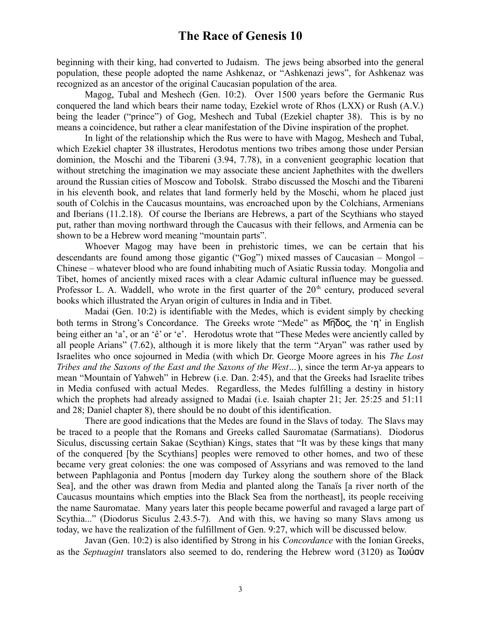beginning with their king, had converted to Judaism. The jews being absorbed into the general population, these people adopted the name Ashkenaz, or "Ashkenazi jews", for Ashkenaz was recognized as an ancestor of the original Caucasian population of the area.

Magog, Tubal and Meshech (Gen. 10:2). Over 1500 years before the Germanic Rus conquered the land which bears their name today, Ezekiel wrote of Rhos (LXX) or Rush (A.V.) being the leader ("prince") of Gog, Meshech and Tubal (Ezekiel chapter 38). This is by no means a coincidence, but rather a clear manifestation of the Divine inspiration of the prophet.

In light of the relationship which the Rus were to have with Magog, Meshech and Tubal, which Ezekiel chapter 38 illustrates, Herodotus mentions two tribes among those under Persian dominion, the Moschi and the Tibareni (3.94, 7.78), in a convenient geographic location that without stretching the imagination we may associate these ancient Japhethites with the dwellers around the Russian cities of Moscow and Tobolsk. Strabo discussed the Moschi and the Tibareni in his eleventh book, and relates that land formerly held by the Moschi, whom he placed just south of Colchis in the Caucasus mountains, was encroached upon by the Colchians, Armenians and Iberians (11.2.18). Of course the Iberians are Hebrews, a part of the Scythians who stayed put, rather than moving northward through the Caucasus with their fellows, and Armenia can be shown to be a Hebrew word meaning "mountain parts".

Whoever Magog may have been in prehistoric times, we can be certain that his descendants are found among those gigantic ("Gog") mixed masses of Caucasian – Mongol – Chinese – whatever blood who are found inhabiting much of Asiatic Russia today. Mongolia and Tibet, homes of anciently mixed races with a clear Adamic cultural influence may be guessed. Professor L. A. Waddell, who wrote in the first quarter of the  $20<sup>th</sup>$  century, produced several books which illustrated the Aryan origin of cultures in India and in Tibet.

Madai (Gen. 10:2) is identifiable with the Medes, which is evident simply by checking both terms in Strong's Concordance. The Greeks wrote "Mede" as Μ͡ηδος, the 'η' in English being either an 'a', or an 'ê' or 'e'. Herodotus wrote that "These Medes were anciently called by all people Arians" (7.62), although it is more likely that the term "Aryan" was rather used by Israelites who once sojourned in Media (with which Dr. George Moore agrees in his *The Lost Tribes and the Saxons of the East and the Saxons of the West…*), since the term Ar-ya appears to mean "Mountain of Yahweh" in Hebrew (i.e. Dan. 2:45), and that the Greeks had Israelite tribes in Media confused with actual Medes. Regardless, the Medes fulfilling a destiny in history which the prophets had already assigned to Madai (i.e. Isaiah chapter 21; Jer. 25:25 and 51:11 and 28; Daniel chapter 8), there should be no doubt of this identification.

There are good indications that the Medes are found in the Slavs of today. The Slavs may be traced to a people that the Romans and Greeks called Sauromatae (Sarmatians). Diodorus Siculus, discussing certain Sakae (Scythian) Kings, states that "It was by these kings that many of the conquered [by the Scythians] peoples were removed to other homes, and two of these became very great colonies: the one was composed of Assyrians and was removed to the land between Paphlagonia and Pontus [modern day Turkey along the southern shore of the Black Sea], and the other was drawn from Media and planted along the Tanaïs [a river north of the Caucasus mountains which empties into the Black Sea from the northeast], its people receiving the name Sauromatae. Many years later this people became powerful and ravaged a large part of Scythia..." (Diodorus Siculus 2.43.5-7). And with this, we having so many Slavs among us today, we have the realization of the fulfillment of Gen. 9:27, which will be discussed below.

Javan (Gen. 10:2) is also identified by Strong in his *Concordance* with the Ionian Greeks, as the *Septuagint* translators also seemed to do, rendering the Hebrew word (3120) as Ἰωύαν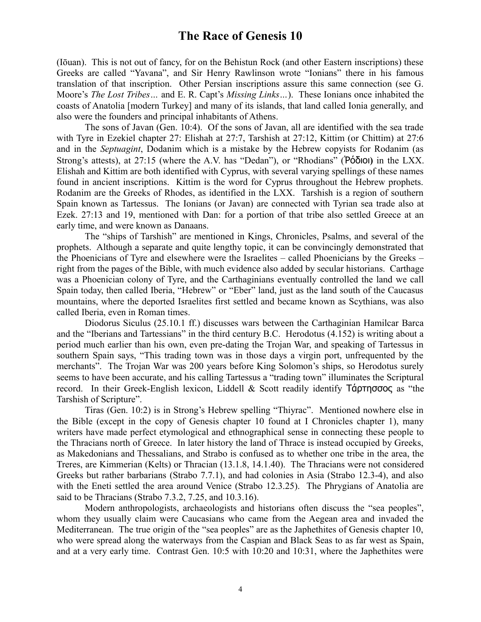(Iōuan). This is not out of fancy, for on the Behistun Rock (and other Eastern inscriptions) these Greeks are called "Yavana", and Sir Henry Rawlinson wrote "Ionians" there in his famous translation of that inscription. Other Persian inscriptions assure this same connection (see G. Moore's *The Lost Tribes…* and E. R. Capt's *Missing Links…*). These Ionians once inhabited the coasts of Anatolia [modern Turkey] and many of its islands, that land called Ionia generally, and also were the founders and principal inhabitants of Athens.

The sons of Javan (Gen. 10:4). Of the sons of Javan, all are identified with the sea trade with Tyre in Ezekiel chapter 27: Elishah at 27:7, Tarshish at 27:12, Kittim (or Chittim) at 27:6 and in the *Septuagint*, Dodanim which is a mistake by the Hebrew copyists for Rodanim (as Strong's attests), at 27:15 (where the A.V. has "Dedan"), or "Rhodians" (Ῥόδιοι**)** in the LXX. Elishah and Kittim are both identified with Cyprus, with several varying spellings of these names found in ancient inscriptions. Kittim is the word for Cyprus throughout the Hebrew prophets. Rodanim are the Greeks of Rhodes, as identified in the LXX. Tarshish is a region of southern Spain known as Tartessus. The Ionians (or Javan) are connected with Tyrian sea trade also at Ezek. 27:13 and 19, mentioned with Dan: for a portion of that tribe also settled Greece at an early time, and were known as Danaans.

The "ships of Tarshish" are mentioned in Kings, Chronicles, Psalms, and several of the prophets. Although a separate and quite lengthy topic, it can be convincingly demonstrated that the Phoenicians of Tyre and elsewhere were the Israelites – called Phoenicians by the Greeks – right from the pages of the Bible, with much evidence also added by secular historians. Carthage was a Phoenician colony of Tyre, and the Carthaginians eventually controlled the land we call Spain today, then called Iberia, "Hebrew" or "Eber" land, just as the land south of the Caucasus mountains, where the deported Israelites first settled and became known as Scythians, was also called Iberia, even in Roman times.

Diodorus Siculus (25.10.1 ff.) discusses wars between the Carthaginian Hamilcar Barca and the "Iberians and Tartessians" in the third century B.C. Herodotus (4.152) is writing about a period much earlier than his own, even pre-dating the Trojan War, and speaking of Tartessus in southern Spain says, "This trading town was in those days a virgin port, unfrequented by the merchants". The Trojan War was 200 years before King Solomon's ships, so Herodotus surely seems to have been accurate, and his calling Tartessus a "trading town" illuminates the Scriptural record. In their Greek-English lexicon, Liddell & Scott readily identify Τάρτησσος as "the Tarshish of Scripture".

Tiras (Gen. 10:2) is in Strong's Hebrew spelling "Thiyrac". Mentioned nowhere else in the Bible (except in the copy of Genesis chapter 10 found at I Chronicles chapter 1), many writers have made perfect etymological and ethnographical sense in connecting these people to the Thracians north of Greece. In later history the land of Thrace is instead occupied by Greeks, as Makedonians and Thessalians, and Strabo is confused as to whether one tribe in the area, the Treres, are Kimmerian (Kelts) or Thracian (13.1.8, 14.1.40). The Thracians were not considered Greeks but rather barbarians (Strabo 7.7.1), and had colonies in Asia (Strabo 12.3-4), and also with the Eneti settled the area around Venice (Strabo 12.3.25). The Phrygians of Anatolia are said to be Thracians (Strabo 7.3.2, 7.25, and 10.3.16).

Modern anthropologists, archaeologists and historians often discuss the "sea peoples", whom they usually claim were Caucasians who came from the Aegean area and invaded the Mediterranean. The true origin of the "sea peoples" are as the Japhethites of Genesis chapter 10, who were spread along the waterways from the Caspian and Black Seas to as far west as Spain, and at a very early time. Contrast Gen. 10:5 with 10:20 and 10:31, where the Japhethites were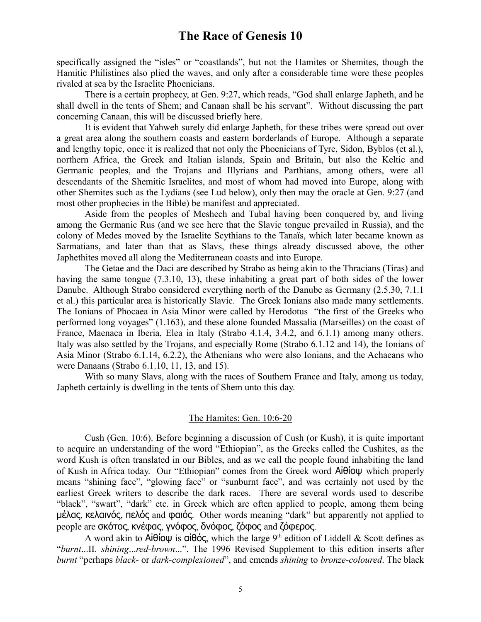specifically assigned the "isles" or "coastlands", but not the Hamites or Shemites, though the Hamitic Philistines also plied the waves, and only after a considerable time were these peoples rivaled at sea by the Israelite Phoenicians.

There is a certain prophecy, at Gen. 9:27, which reads, "God shall enlarge Japheth, and he shall dwell in the tents of Shem; and Canaan shall be his servant". Without discussing the part concerning Canaan, this will be discussed briefly here.

It is evident that Yahweh surely did enlarge Japheth, for these tribes were spread out over a great area along the southern coasts and eastern borderlands of Europe. Although a separate and lengthy topic, once it is realized that not only the Phoenicians of Tyre, Sidon, Byblos (et al.), northern Africa, the Greek and Italian islands, Spain and Britain, but also the Keltic and Germanic peoples, and the Trojans and Illyrians and Parthians, among others, were all descendants of the Shemitic Israelites, and most of whom had moved into Europe, along with other Shemites such as the Lydians (see Lud below), only then may the oracle at Gen. 9:27 (and most other prophecies in the Bible) be manifest and appreciated.

Aside from the peoples of Meshech and Tubal having been conquered by, and living among the Germanic Rus (and we see here that the Slavic tongue prevailed in Russia), and the colony of Medes moved by the Israelite Scythians to the Tanaïs, which later became known as Sarmatians, and later than that as Slavs, these things already discussed above, the other Japhethites moved all along the Mediterranean coasts and into Europe.

The Getae and the Daci are described by Strabo as being akin to the Thracians (Tiras) and having the same tongue (7.3.10, 13), these inhabiting a great part of both sides of the lower Danube. Although Strabo considered everything north of the Danube as Germany (2.5.30, 7.1.1 et al.) this particular area is historically Slavic. The Greek Ionians also made many settlements. The Ionians of Phocaea in Asia Minor were called by Herodotus "the first of the Greeks who performed long voyages" (1.163), and these alone founded Massalia (Marseilles) on the coast of France, Maenaca in Iberia, Elea in Italy (Strabo 4.1.4, 3.4.2, and 6.1.1) among many others. Italy was also settled by the Trojans, and especially Rome (Strabo 6.1.12 and 14), the Ionians of Asia Minor (Strabo 6.1.14, 6.2.2), the Athenians who were also Ionians, and the Achaeans who were Danaans (Strabo 6.1.10, 11, 13, and 15).

With so many Slavs, along with the races of Southern France and Italy, among us today, Japheth certainly is dwelling in the tents of Shem unto this day.

#### The Hamites: Gen. 10:6-20

Cush (Gen. 10:6). Before beginning a discussion of Cush (or Kush), it is quite important to acquire an understanding of the word "Ethiopian", as the Greeks called the Cushites, as the word Kush is often translated in our Bibles, and as we call the people found inhabiting the land of Kush in Africa today. Our "Ethiopian" comes from the Greek word Αἰθίοψ which properly means "shining face", "glowing face" or "sunburnt face", and was certainly not used by the earliest Greek writers to describe the dark races. There are several words used to describe "black", "swart", "dark" etc. in Greek which are often applied to people, among them being μέλας, κελαινός, πελός and φαιός. Other words meaning "dark" but apparently not applied to people are σκότος, κνέφας, γνόφος, δνόφος, ζόφος and ζόφερος.

A word akin to  $\mathsf{Ai}\theta$ ίοψ is αἰθός, which the large 9<sup>th</sup> edition of Liddell & Scott defines as "*burnt*...II. *shining*...*red-brown*...". The 1996 Revised Supplement to this edition inserts after *burnt* "perhaps *black-* or *dark-complexioned*", and emends *shining* to *bronze-coloured*. The black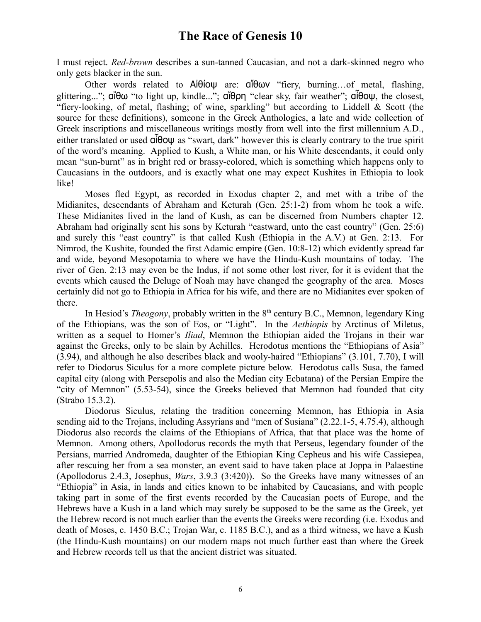I must reject. *Red-brown* describes a sun-tanned Caucasian, and not a dark-skinned negro who only gets blacker in the sun.

Other words related to Αἰθίοψ are: αἴθων "fiery, burning…of metal, flashing, glittering..."; αἴθω "to light up, kindle..."; αἴθρη "clear sky, fair weather"; αἶθοψ, the closest, "fiery-looking, of metal, flashing; of wine, sparkling" but according to Liddell & Scott (the source for these definitions), someone in the Greek Anthologies, a late and wide collection of Greek inscriptions and miscellaneous writings mostly from well into the first millennium A.D., either translated or used αἶθοψ as "swart, dark" however this is clearly contrary to the true spirit of the word's meaning. Applied to Kush, a White man, or his White descendants, it could only mean "sun-burnt" as in bright red or brassy-colored, which is something which happens only to Caucasians in the outdoors, and is exactly what one may expect Kushites in Ethiopia to look like!

Moses fled Egypt, as recorded in Exodus chapter 2, and met with a tribe of the Midianites, descendants of Abraham and Keturah (Gen. 25:1-2) from whom he took a wife. These Midianites lived in the land of Kush, as can be discerned from Numbers chapter 12. Abraham had originally sent his sons by Keturah "eastward, unto the east country" (Gen. 25:6) and surely this "east country" is that called Kush (Ethiopia in the A.V.) at Gen. 2:13. For Nimrod, the Kushite, founded the first Adamic empire (Gen. 10:8-12) which evidently spread far and wide, beyond Mesopotamia to where we have the Hindu-Kush mountains of today. The river of Gen. 2:13 may even be the Indus, if not some other lost river, for it is evident that the events which caused the Deluge of Noah may have changed the geography of the area. Moses certainly did not go to Ethiopia in Africa for his wife, and there are no Midianites ever spoken of there.

In Hesiod's *Theogony*, probably written in the 8<sup>th</sup> century B.C., Memnon, legendary King of the Ethiopians, was the son of Eos, or "Light". In the *Aethiopis* by Arctinus of Miletus, written as a sequel to Homer's *Iliad*, Memnon the Ethiopian aided the Trojans in their war against the Greeks, only to be slain by Achilles. Herodotus mentions the "Ethiopians of Asia" (3.94), and although he also describes black and wooly-haired "Ethiopians" (3.101, 7.70), I will refer to Diodorus Siculus for a more complete picture below. Herodotus calls Susa, the famed capital city (along with Persepolis and also the Median city Ecbatana) of the Persian Empire the "city of Memnon" (5.53-54), since the Greeks believed that Memnon had founded that city (Strabo 15.3.2).

Diodorus Siculus, relating the tradition concerning Memnon, has Ethiopia in Asia sending aid to the Trojans, including Assyrians and "men of Susiana" (2.22.1-5, 4.75.4), although Diodorus also records the claims of the Ethiopians of Africa, that that place was the home of Memnon. Among others, Apollodorus records the myth that Perseus, legendary founder of the Persians, married Andromeda, daughter of the Ethiopian King Cepheus and his wife Cassiepea, after rescuing her from a sea monster, an event said to have taken place at Joppa in Palaestine (Apollodorus 2.4.3, Josephus, *Wars*, 3.9.3 (3:420)). So the Greeks have many witnesses of an "Ethiopia" in Asia, in lands and cities known to be inhabited by Caucasians, and with people taking part in some of the first events recorded by the Caucasian poets of Europe, and the Hebrews have a Kush in a land which may surely be supposed to be the same as the Greek, yet the Hebrew record is not much earlier than the events the Greeks were recording (i.e. Exodus and death of Moses, c. 1450 B.C.; Trojan War, c. 1185 B.C.), and as a third witness, we have a Kush (the Hindu-Kush mountains) on our modern maps not much further east than where the Greek and Hebrew records tell us that the ancient district was situated.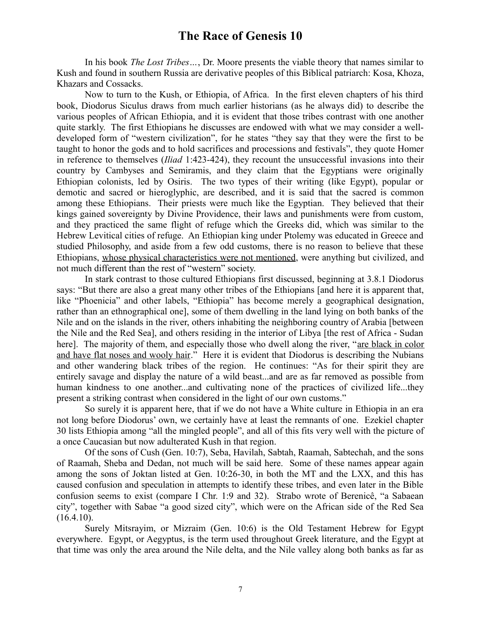In his book *The Lost Tribes…*, Dr. Moore presents the viable theory that names similar to Kush and found in southern Russia are derivative peoples of this Biblical patriarch: Kosa, Khoza, Khazars and Cossacks.

Now to turn to the Kush, or Ethiopia, of Africa. In the first eleven chapters of his third book, Diodorus Siculus draws from much earlier historians (as he always did) to describe the various peoples of African Ethiopia, and it is evident that those tribes contrast with one another quite starkly. The first Ethiopians he discusses are endowed with what we may consider a welldeveloped form of "western civilization", for he states "they say that they were the first to be taught to honor the gods and to hold sacrifices and processions and festivals", they quote Homer in reference to themselves (*Iliad* 1:423-424), they recount the unsuccessful invasions into their country by Cambyses and Semiramis, and they claim that the Egyptians were originally Ethiopian colonists, led by Osiris. The two types of their writing (like Egypt), popular or demotic and sacred or hieroglyphic, are described, and it is said that the sacred is common among these Ethiopians. Their priests were much like the Egyptian. They believed that their kings gained sovereignty by Divine Providence, their laws and punishments were from custom, and they practiced the same flight of refuge which the Greeks did, which was similar to the Hebrew Levitical cities of refuge. An Ethiopian king under Ptolemy was educated in Greece and studied Philosophy, and aside from a few odd customs, there is no reason to believe that these Ethiopians, whose physical characteristics were not mentioned, were anything but civilized, and not much different than the rest of "western" society.

In stark contrast to those cultured Ethiopians first discussed, beginning at 3.8.1 Diodorus says: "But there are also a great many other tribes of the Ethiopians [and here it is apparent that, like "Phoenicia" and other labels, "Ethiopia" has become merely a geographical designation, rather than an ethnographical one], some of them dwelling in the land lying on both banks of the Nile and on the islands in the river, others inhabiting the neighboring country of Arabia [between the Nile and the Red Sea], and others residing in the interior of Libya [the rest of Africa - Sudan here]. The majority of them, and especially those who dwell along the river, "are black in color and have flat noses and wooly hair." Here it is evident that Diodorus is describing the Nubians and other wandering black tribes of the region. He continues: "As for their spirit they are entirely savage and display the nature of a wild beast...and are as far removed as possible from human kindness to one another...and cultivating none of the practices of civilized life...they present a striking contrast when considered in the light of our own customs."

So surely it is apparent here, that if we do not have a White culture in Ethiopia in an era not long before Diodorus' own, we certainly have at least the remnants of one. Ezekiel chapter 30 lists Ethiopia among "all the mingled people", and all of this fits very well with the picture of a once Caucasian but now adulterated Kush in that region.

Of the sons of Cush (Gen. 10:7), Seba, Havilah, Sabtah, Raamah, Sabtechah, and the sons of Raamah, Sheba and Dedan, not much will be said here. Some of these names appear again among the sons of Joktan listed at Gen. 10:26-30, in both the MT and the LXX, and this has caused confusion and speculation in attempts to identify these tribes, and even later in the Bible confusion seems to exist (compare I Chr. 1:9 and 32). Strabo wrote of Berenicê, "a Sabaean city", together with Sabae "a good sized city", which were on the African side of the Red Sea  $(16.4.10).$ 

Surely Mitsrayim, or Mizraim (Gen. 10:6) is the Old Testament Hebrew for Egypt everywhere. Egypt, or Aegyptus, is the term used throughout Greek literature, and the Egypt at that time was only the area around the Nile delta, and the Nile valley along both banks as far as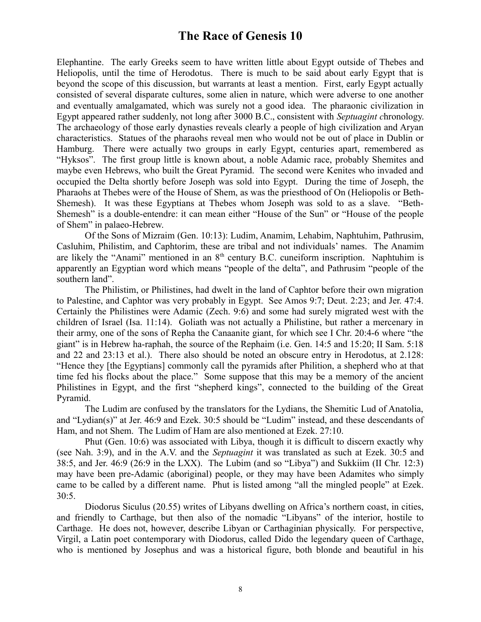Elephantine. The early Greeks seem to have written little about Egypt outside of Thebes and Heliopolis, until the time of Herodotus. There is much to be said about early Egypt that is beyond the scope of this discussion, but warrants at least a mention. First, early Egypt actually consisted of several disparate cultures, some alien in nature, which were adverse to one another and eventually amalgamated, which was surely not a good idea. The pharaonic civilization in Egypt appeared rather suddenly, not long after 3000 B.C., consistent with *Septuagint c*hronology. The archaeology of those early dynasties reveals clearly a people of high civilization and Aryan characteristics. Statues of the pharaohs reveal men who would not be out of place in Dublin or Hamburg. There were actually two groups in early Egypt, centuries apart, remembered as "Hyksos". The first group little is known about, a noble Adamic race, probably Shemites and maybe even Hebrews, who built the Great Pyramid. The second were Kenites who invaded and occupied the Delta shortly before Joseph was sold into Egypt. During the time of Joseph, the Pharaohs at Thebes were of the House of Shem, as was the priesthood of On (Heliopolis or Beth-Shemesh). It was these Egyptians at Thebes whom Joseph was sold to as a slave. "Beth-Shemesh" is a double-entendre: it can mean either "House of the Sun" or "House of the people of Shem" in palaeo-Hebrew.

Of the Sons of Mizraim (Gen. 10:13): Ludim, Anamim, Lehabim, Naphtuhim, Pathrusim, Casluhim, Philistim, and Caphtorim, these are tribal and not individuals' names. The Anamim are likely the "Anami" mentioned in an  $8<sup>th</sup>$  century B.C. cuneiform inscription. Naphtuhim is apparently an Egyptian word which means "people of the delta", and Pathrusim "people of the southern land".

The Philistim, or Philistines, had dwelt in the land of Caphtor before their own migration to Palestine, and Caphtor was very probably in Egypt. See Amos 9:7; Deut. 2:23; and Jer. 47:4. Certainly the Philistines were Adamic (Zech. 9:6) and some had surely migrated west with the children of Israel (Isa. 11:14). Goliath was not actually a Philistine, but rather a mercenary in their army, one of the sons of Repha the Canaanite giant, for which see I Chr. 20:4-6 where "the giant" is in Hebrew ha-raphah, the source of the Rephaim (i.e. Gen. 14:5 and 15:20; II Sam. 5:18 and 22 and 23:13 et al.). There also should be noted an obscure entry in Herodotus, at 2.128: "Hence they [the Egyptians] commonly call the pyramids after Philition, a shepherd who at that time fed his flocks about the place." Some suppose that this may be a memory of the ancient Philistines in Egypt, and the first "shepherd kings", connected to the building of the Great Pyramid.

The Ludim are confused by the translators for the Lydians, the Shemitic Lud of Anatolia, and "Lydian(s)" at Jer. 46:9 and Ezek. 30:5 should be "Ludim" instead, and these descendants of Ham, and not Shem. The Ludim of Ham are also mentioned at Ezek. 27:10.

Phut (Gen. 10:6) was associated with Libya, though it is difficult to discern exactly why (see Nah. 3:9), and in the A.V. and the *Septuagint* it was translated as such at Ezek. 30:5 and 38:5, and Jer. 46:9 (26:9 in the LXX). The Lubim (and so "Libya") and Sukkiim (II Chr. 12:3) may have been pre-Adamic (aboriginal) people, or they may have been Adamites who simply came to be called by a different name. Phut is listed among "all the mingled people" at Ezek. 30:5.

Diodorus Siculus (20.55) writes of Libyans dwelling on Africa's northern coast, in cities, and friendly to Carthage, but then also of the nomadic "Libyans" of the interior, hostile to Carthage. He does not, however, describe Libyan or Carthaginian physically. For perspective, Virgil, a Latin poet contemporary with Diodorus, called Dido the legendary queen of Carthage, who is mentioned by Josephus and was a historical figure, both blonde and beautiful in his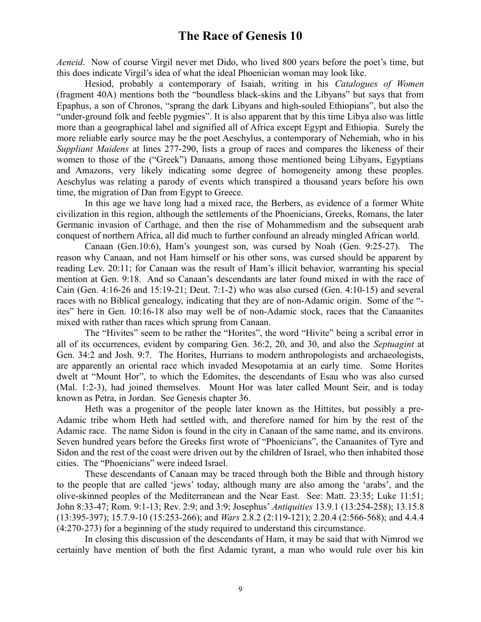*Aeneid*. Now of course Virgil never met Dido, who lived 800 years before the poet's time, but this does indicate Virgil's idea of what the ideal Phoenician woman may look like.

Hesiod, probably a contemporary of Isaiah, writing in his *Catalogues of Women* (fragment 40A) mentions both the "boundless black-skins and the Libyans" but says that from Epaphus, a son of Chronos, "sprang the dark Libyans and high-souled Ethiopians", but also the "under-ground folk and feeble pygmies". It is also apparent that by this time Libya also was little more than a geographical label and signified all of Africa except Egypt and Ethiopia. Surely the more reliable early source may be the poet Aeschylus, a contemporary of Nehemiah, who in his *Suppliant Maidens* at lines 277-290, lists a group of races and compares the likeness of their women to those of the ("Greek") Danaans, among those mentioned being Libyans, Egyptians and Amazons, very likely indicating some degree of homogeneity among these peoples. Aeschylus was relating a parody of events which transpired a thousand years before his own time, the migration of Dan from Egypt to Greece.

In this age we have long had a mixed race, the Berbers, as evidence of a former White civilization in this region, although the settlements of the Phoenicians, Greeks, Romans, the later Germanic invasion of Carthage, and then the rise of Mohammedism and the subsequent arab conquest of northern Africa, all did much to further confound an already mingled African world.

Canaan (Gen.10:6), Ham's youngest son, was cursed by Noah (Gen. 9:25-27). The reason why Canaan, and not Ham himself or his other sons, was cursed should be apparent by reading Lev. 20:11; for Canaan was the result of Ham's illicit behavior, warranting his special mention at Gen. 9:18. And so Canaan's descendants are later found mixed in with the race of Cain (Gen. 4:16-26 and 15:19-21; Deut. 7:1-2) who was also cursed (Gen. 4:10-15) and several races with no Biblical genealogy, indicating that they are of non-Adamic origin. Some of the " ites" here in Gen. 10:16-18 also may well be of non-Adamic stock, races that the Canaanites mixed with rather than races which sprung from Canaan.

The "Hivites" seem to be rather the "Horites", the word "Hivite" being a scribal error in all of its occurrences, evident by comparing Gen. 36:2, 20, and 30, and also the *Septuagint* at Gen. 34:2 and Josh. 9:7. The Horites, Hurrians to modern anthropologists and archaeologists, are apparently an oriental race which invaded Mesopotamia at an early time. Some Horites dwelt at "Mount Hor", to which the Edomites, the descendants of Esau who was also cursed (Mal. 1:2-3), had joined themselves. Mount Hor was later called Mount Seir, and is today known as Petra, in Jordan. See Genesis chapter 36.

Heth was a progenitor of the people later known as the Hittites, but possibly a pre-Adamic tribe whom Heth had settled with, and therefore named for him by the rest of the Adamic race. The name Sidon is found in the city in Canaan of the same name, and its environs. Seven hundred years before the Greeks first wrote of "Phoenicians", the Canaanites of Tyre and Sidon and the rest of the coast were driven out by the children of Israel, who then inhabited those cities. The "Phoenicians" were indeed Israel.

These descendants of Canaan may be traced through both the Bible and through history to the people that are called 'jews' today, although many are also among the 'arabs', and the olive-skinned peoples of the Mediterranean and the Near East. See: Matt. 23:35; Luke 11:51; John 8:33-47; Rom. 9:1-13; Rev. 2:9; and 3:9; Josephus' *Antiquities* 13.9.1 (13:254-258); 13.15.8 (13:395-397); 15.7.9-10 (15:253-266); and *Wars* 2.8.2 (2:119-121); 2.20.4 (2:566-568); and 4.4.4 (4:270-273) for a beginning of the study required to understand this circumstance.

In closing this discussion of the descendants of Ham, it may be said that with Nimrod we certainly have mention of both the first Adamic tyrant, a man who would rule over his kin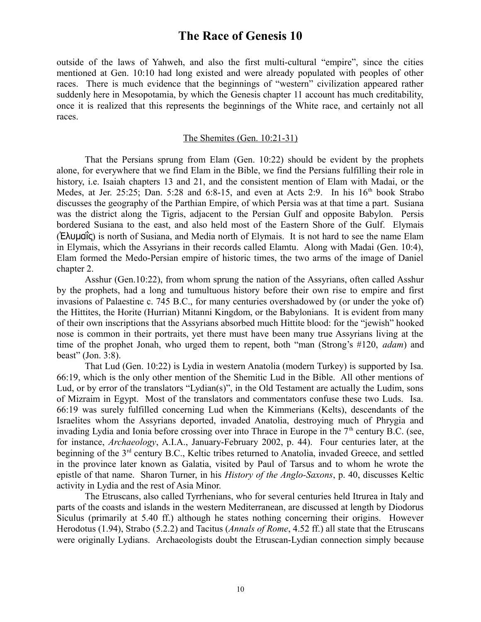outside of the laws of Yahweh, and also the first multi-cultural "empire", since the cities mentioned at Gen. 10:10 had long existed and were already populated with peoples of other races. There is much evidence that the beginnings of "western" civilization appeared rather suddenly here in Mesopotamia, by which the Genesis chapter 11 account has much creditability, once it is realized that this represents the beginnings of the White race, and certainly not all races.

#### The Shemites (Gen. 10:21-31)

That the Persians sprung from Elam (Gen. 10:22) should be evident by the prophets alone, for everywhere that we find Elam in the Bible, we find the Persians fulfilling their role in history, i.e. Isaiah chapters 13 and 21, and the consistent mention of Elam with Madai, or the Medes, at Jer. 25:25; Dan. 5:28 and 6:8-15, and even at Acts 2:9. In his 16<sup>th</sup> book Strabo discusses the geography of the Parthian Empire, of which Persia was at that time a part. Susiana was the district along the Tigris, adjacent to the Persian Gulf and opposite Babylon. Persis bordered Susiana to the east, and also held most of the Eastern Shore of the Gulf. Elymais (Ἐλυμαΐς) is north of Susiana, and Media north of Elymais. It is not hard to see the name Elam in Elymais, which the Assyrians in their records called Elamtu. Along with Madai (Gen. 10:4), Elam formed the Medo-Persian empire of historic times, the two arms of the image of Daniel chapter 2.

Asshur (Gen.10:22), from whom sprung the nation of the Assyrians, often called Asshur by the prophets, had a long and tumultuous history before their own rise to empire and first invasions of Palaestine c. 745 B.C., for many centuries overshadowed by (or under the yoke of) the Hittites, the Horite (Hurrian) Mitanni Kingdom, or the Babylonians. It is evident from many of their own inscriptions that the Assyrians absorbed much Hittite blood: for the "jewish" hooked nose is common in their portraits, yet there must have been many true Assyrians living at the time of the prophet Jonah, who urged them to repent, both "man (Strong's #120, *adam*) and beast" (Jon. 3:8).

That Lud (Gen. 10:22) is Lydia in western Anatolia (modern Turkey) is supported by Isa. 66:19, which is the only other mention of the Shemitic Lud in the Bible. All other mentions of Lud, or by error of the translators "Lydian(s)", in the Old Testament are actually the Ludim, sons of Mizraim in Egypt. Most of the translators and commentators confuse these two Luds. Isa. 66:19 was surely fulfilled concerning Lud when the Kimmerians (Kelts), descendants of the Israelites whom the Assyrians deported, invaded Anatolia, destroying much of Phrygia and invading Lydia and Ionia before crossing over into Thrace in Europe in the  $7<sup>th</sup>$  century B.C. (see, for instance, *Archaeology*, A.I.A., January-February 2002, p. 44). Four centuries later, at the beginning of the 3<sup>rd</sup> century B.C., Keltic tribes returned to Anatolia, invaded Greece, and settled in the province later known as Galatia, visited by Paul of Tarsus and to whom he wrote the epistle of that name. Sharon Turner, in his *History of the Anglo-Saxons*, p. 40, discusses Keltic activity in Lydia and the rest of Asia Minor.

The Etruscans, also called Tyrrhenians, who for several centuries held Itrurea in Italy and parts of the coasts and islands in the western Mediterranean, are discussed at length by Diodorus Siculus (primarily at 5.40 ff.) although he states nothing concerning their origins. However Herodotus (1.94), Strabo (5.2.2) and Tacitus (*Annals of Rome*, 4.52 ff.) all state that the Etruscans were originally Lydians. Archaeologists doubt the Etruscan-Lydian connection simply because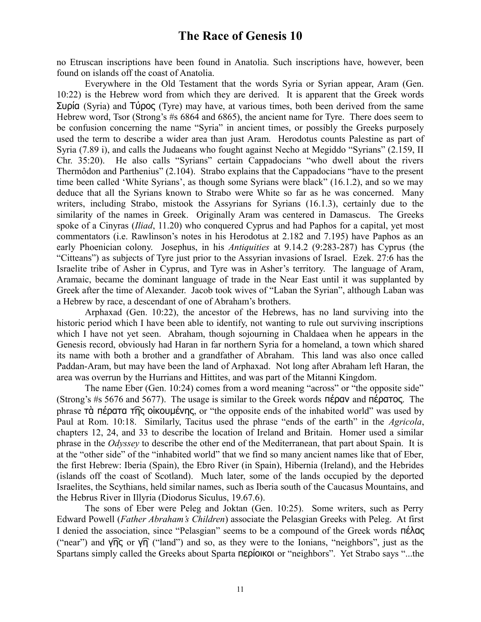no Etruscan inscriptions have been found in Anatolia. Such inscriptions have, however, been found on islands off the coast of Anatolia.

Everywhere in the Old Testament that the words Syria or Syrian appear, Aram (Gen. 10:22) is the Hebrew word from which they are derived. It is apparent that the Greek words Συρία (Syria) and Τύρος (Tyre) may have, at various times, both been derived from the same Hebrew word, Tsor (Strong's #s 6864 and 6865), the ancient name for Tyre. There does seem to be confusion concerning the name "Syria" in ancient times, or possibly the Greeks purposely used the term to describe a wider area than just Aram. Herodotus counts Palestine as part of Syria (7.89 i), and calls the Judaeans who fought against Necho at Megiddo "Syrians" (2.159, II Chr. 35:20). He also calls "Syrians" certain Cappadocians "who dwell about the rivers Thermôdon and Parthenius" (2.104). Strabo explains that the Cappadocians "have to the present time been called 'White Syrians', as though some Syrians were black" (16.1.2), and so we may deduce that all the Syrians known to Strabo were White so far as he was concerned. Many writers, including Strabo, mistook the Assyrians for Syrians (16.1.3), certainly due to the similarity of the names in Greek. Originally Aram was centered in Damascus. The Greeks spoke of a Cinyras (*Iliad*, 11.20) who conquered Cyprus and had Paphos for a capital, yet most commentators (i.e. Rawlinson's notes in his Herodotus at 2.182 and 7.195) have Paphos as an early Phoenician colony. Josephus, in his *Antiquities* at 9.14.2 (9:283-287) has Cyprus (the "Citteans") as subjects of Tyre just prior to the Assyrian invasions of Israel. Ezek. 27:6 has the Israelite tribe of Asher in Cyprus, and Tyre was in Asher's territory. The language of Aram, Aramaic, became the dominant language of trade in the Near East until it was supplanted by Greek after the time of Alexander. Jacob took wives of "Laban the Syrian", although Laban was a Hebrew by race, a descendant of one of Abraham's brothers.

Arphaxad (Gen. 10:22), the ancestor of the Hebrews, has no land surviving into the historic period which I have been able to identify, not wanting to rule out surviving inscriptions which I have not yet seen. Abraham, though sojourning in Chaldaea when he appears in the Genesis record, obviously had Haran in far northern Syria for a homeland, a town which shared its name with both a brother and a grandfather of Abraham. This land was also once called Paddan-Aram, but may have been the land of Arphaxad. Not long after Abraham left Haran, the area was overrun by the Hurrians and Hittites, and was part of the Mitanni Kingdom.

The name Eber (Gen. 10:24) comes from a word meaning "across" or "the opposite side" (Strong's #s 5676 and 5677). The usage is similar to the Greek words πέραν and πέρατος. The phrase τὰ πέρατα τ͡ης οἰκουμένης, or "the opposite ends of the inhabited world" was used by Paul at Rom. 10:18. Similarly, Tacitus used the phrase "ends of the earth" in the *Agricola*, chapters 12, 24, and 33 to describe the location of Ireland and Britain. Homer used a similar phrase in the *Odyssey* to describe the other end of the Mediterranean, that part about Spain. It is at the "other side" of the "inhabited world" that we find so many ancient names like that of Eber, the first Hebrew: Iberia (Spain), the Ebro River (in Spain), Hibernia (Ireland), and the Hebrides (islands off the coast of Scotland). Much later, some of the lands occupied by the deported Israelites, the Scythians, held similar names, such as Iberia south of the Caucasus Mountains, and the Hebrus River in Illyria (Diodorus Siculus, 19.67.6).

The sons of Eber were Peleg and Joktan (Gen. 10:25). Some writers, such as Perry Edward Powell (*Father Abraham's Children*) associate the Pelasgian Greeks with Peleg. At first I denied the association, since "Pelasgian" seems to be a compound of the Greek words πέλας ("near") and  $\sqrt{\eta}$  or  $\sqrt{\eta}$  ("land") and so, as they were to the Ionians, "neighbors", just as the Spartans simply called the Greeks about Sparta περίοικοι or "neighbors". Yet Strabo says "...the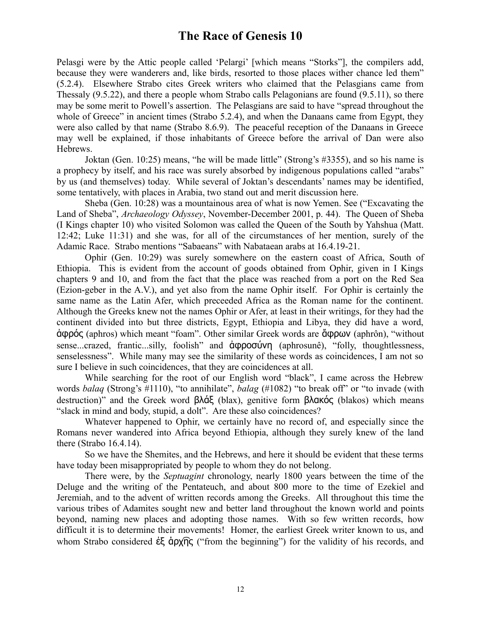Pelasgi were by the Attic people called 'Pelargi' [which means "Storks"], the compilers add, because they were wanderers and, like birds, resorted to those places wither chance led them" (5.2.4). Elsewhere Strabo cites Greek writers who claimed that the Pelasgians came from Thessaly (9.5.22), and there a people whom Strabo calls Pelagonians are found (9.5.11), so there may be some merit to Powell's assertion. The Pelasgians are said to have "spread throughout the whole of Greece" in ancient times (Strabo 5.2.4), and when the Danaans came from Egypt, they were also called by that name (Strabo 8.6.9). The peaceful reception of the Danaans in Greece may well be explained, if those inhabitants of Greece before the arrival of Dan were also Hebrews.

Joktan (Gen. 10:25) means, "he will be made little" (Strong's #3355), and so his name is a prophecy by itself, and his race was surely absorbed by indigenous populations called "arabs" by us (and themselves) today. While several of Joktan's descendants' names may be identified, some tentatively, with places in Arabia, two stand out and merit discussion here.

Sheba (Gen. 10:28) was a mountainous area of what is now Yemen. See ("Excavating the Land of Sheba", *Archaeology Odyssey*, November-December 2001, p. 44). The Queen of Sheba (I Kings chapter 10) who visited Solomon was called the Queen of the South by Yahshua (Matt. 12:42; Luke 11:31) and she was, for all of the circumstances of her mention, surely of the Adamic Race. Strabo mentions "Sabaeans" with Nabataean arabs at 16.4.19-21.

Ophir (Gen. 10:29) was surely somewhere on the eastern coast of Africa, South of Ethiopia. This is evident from the account of goods obtained from Ophir, given in I Kings chapters 9 and 10, and from the fact that the place was reached from a port on the Red Sea (Ezion-geber in the A.V.), and yet also from the name Ophir itself. For Ophir is certainly the same name as the Latin Afer, which preceeded Africa as the Roman name for the continent. Although the Greeks knew not the names Ophir or Afer, at least in their writings, for they had the continent divided into but three districts, Egypt, Ethiopia and Libya, they did have a word, ἀφρός (aphros) which meant "foam". Other similar Greek words are ἄφρων (aphrôn), "without sense...crazed, frantic...silly, foolish" and ἀφροσύνη (aphrosunê), "folly, thoughtlessness, senselessness". While many may see the similarity of these words as coincidences, I am not so sure I believe in such coincidences, that they are coincidences at all.

While searching for the root of our English word "black", I came across the Hebrew words *balaq* (Strong's #1110), "to annihilate", *balag* (#1082) "to break off" or "to invade (with destruction)" and the Greek word βλάξ (blax), genitive form βλακός (blakos) which means "slack in mind and body, stupid, a dolt". Are these also coincidences?

Whatever happened to Ophir, we certainly have no record of, and especially since the Romans never wandered into Africa beyond Ethiopia, although they surely knew of the land there (Strabo 16.4.14).

So we have the Shemites, and the Hebrews, and here it should be evident that these terms have today been misappropriated by people to whom they do not belong.

There were, by the *Septuagint* chronology, nearly 1800 years between the time of the Deluge and the writing of the Pentateuch, and about 800 more to the time of Ezekiel and Jeremiah, and to the advent of written records among the Greeks. All throughout this time the various tribes of Adamites sought new and better land throughout the known world and points beyond, naming new places and adopting those names. With so few written records, how difficult it is to determine their movements! Homer, the earliest Greek writer known to us, and whom Strabo considered έξ άρχης ("from the beginning") for the validity of his records, and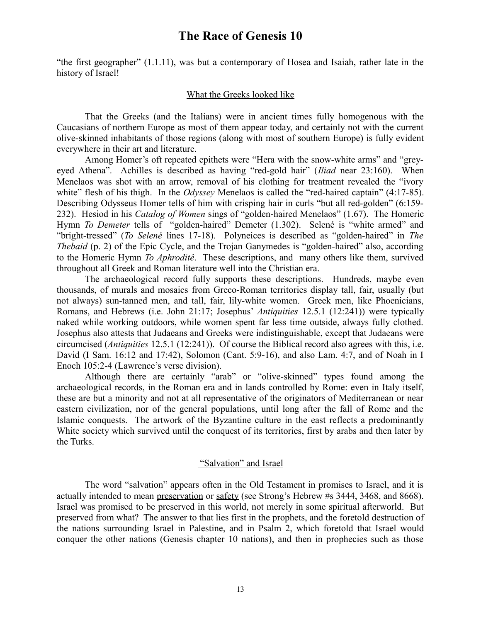"the first geographer" (1.1.11), was but a contemporary of Hosea and Isaiah, rather late in the history of Israel!

#### What the Greeks looked like

That the Greeks (and the Italians) were in ancient times fully homogenous with the Caucasians of northern Europe as most of them appear today, and certainly not with the current olive-skinned inhabitants of those regions (along with most of southern Europe) is fully evident everywhere in their art and literature.

Among Homer's oft repeated epithets were "Hera with the snow-white arms" and "greyeyed Athena". Achilles is described as having "red-gold hair" (*Iliad* near 23:160). When Menelaos was shot with an arrow, removal of his clothing for treatment revealed the "ivory white" flesh of his thigh. In the *Odyssey* Menelaos is called the "red-haired captain" (4:17-85). Describing Odysseus Homer tells of him with crisping hair in curls "but all red-golden" (6:159- 232). Hesiod in his *Catalog of Women* sings of "golden-haired Menelaos" (1.67). The Homeric Hymn *To Demeter* tells of "golden-haired" Demeter (1.302). Selené is "white armed" and "bright-tressed" (*To Selené* lines 17-18). Polyneices is described as "golden-haired" in *The Thebaid* (p. 2) of the Epic Cycle, and the Trojan Ganymedes is "golden-haired" also, according to the Homeric Hymn *To Aphroditê*. These descriptions, and many others like them, survived throughout all Greek and Roman literature well into the Christian era.

The archaeological record fully supports these descriptions. Hundreds, maybe even thousands, of murals and mosaics from Greco-Roman territories display tall, fair, usually (but not always) sun-tanned men, and tall, fair, lily-white women. Greek men, like Phoenicians, Romans, and Hebrews (i.e. John 21:17; Josephus' *Antiquities* 12.5.1 (12:241)) were typically naked while working outdoors, while women spent far less time outside, always fully clothed. Josephus also attests that Judaeans and Greeks were indistinguishable, except that Judaeans were circumcised (*Antiquities* 12.5.1 (12:241)). Of course the Biblical record also agrees with this, i.e. David (I Sam. 16:12 and 17:42), Solomon (Cant. 5:9-16), and also Lam. 4:7, and of Noah in I Enoch 105:2-4 (Lawrence's verse division).

Although there are certainly "arab" or "olive-skinned" types found among the archaeological records, in the Roman era and in lands controlled by Rome: even in Italy itself, these are but a minority and not at all representative of the originators of Mediterranean or near eastern civilization, nor of the general populations, until long after the fall of Rome and the Islamic conquests. The artwork of the Byzantine culture in the east reflects a predominantly White society which survived until the conquest of its territories, first by arabs and then later by the Turks.

#### "Salvation" and Israel

The word "salvation" appears often in the Old Testament in promises to Israel, and it is actually intended to mean preservation or safety (see Strong's Hebrew #s 3444, 3468, and 8668). Israel was promised to be preserved in this world, not merely in some spiritual afterworld. But preserved from what? The answer to that lies first in the prophets, and the foretold destruction of the nations surrounding Israel in Palestine, and in Psalm 2, which foretold that Israel would conquer the other nations (Genesis chapter 10 nations), and then in prophecies such as those